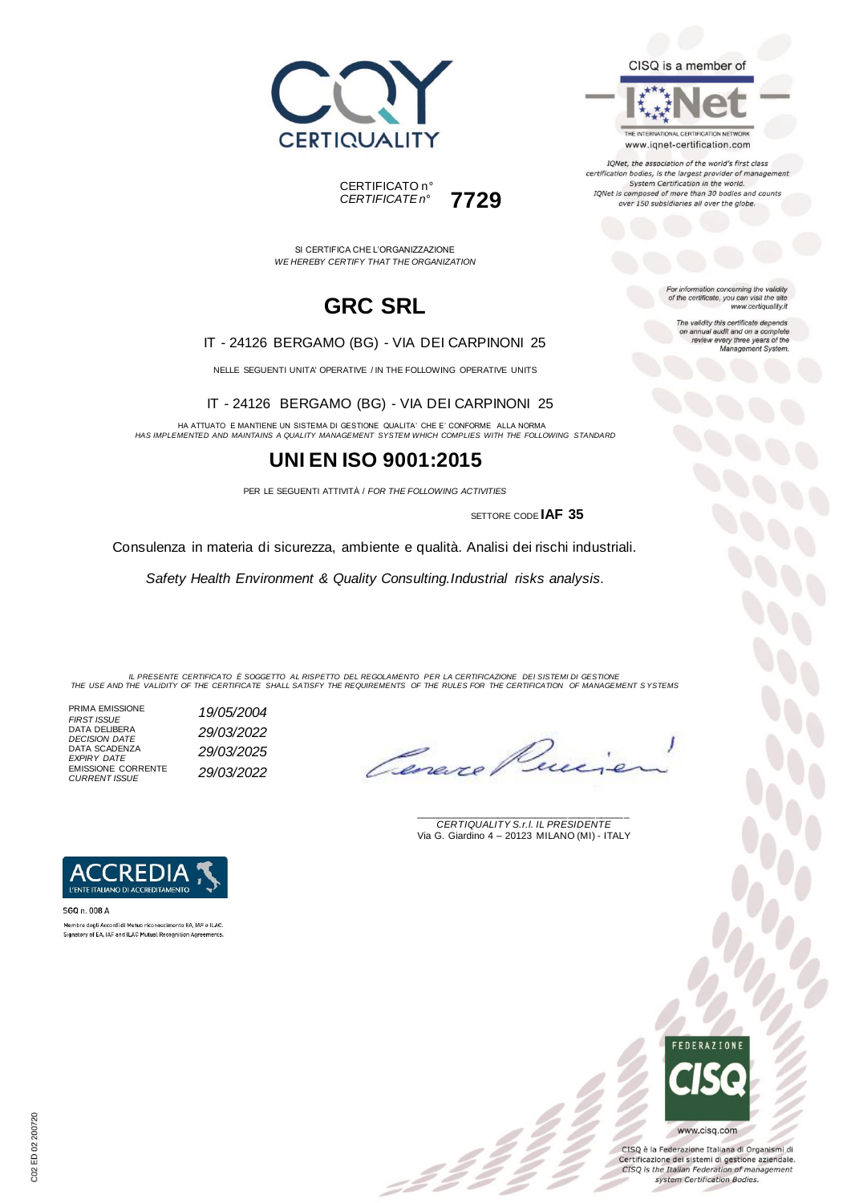



THE INTERNATIONAL CERTIFICATION NETWORK www.iqnet-certification.com

IQNet, the association of the world's first class certification bodies, is the largest provider of management System Certification in the world.<br>IQNet is composed of more than 30 bodies and counts over 150 subsidiaries all over the globe.

For information concerning the validity<br>of the certificate, you can visit the site

The validity this certificate depends ne validity this centricate depends<br>on annual audit and on a complete<br>review every three years of the<br>Management System.

www.certiquality.it

SI CERTIFICA CHE L'ORGANIZZAZIONE *WE HEREBY CERTIFY THAT THE ORGANIZATION*

CERTIFICATO n°

*CERTIFICATE n°* **7729**

## **GRC SRL**

#### IT - 24126 BERGAMO (BG) - VIA DEI CARPINONI 25

NELLE SEGUENTI UNITA' OPERATIVE / IN THE FOLLOWING OPERATIVE UNITS

IT - 24126 BERGAMO (BG) - VIA DEI CARPINONI 25

HA ATTUATO E MANTIENE UN SISTEMA DI GESTIONE QUALITA' CHE E' CONFORME ALLA NORMA *HAS IMPLEMENTED AND MAINTAINS A QUALITY MANAGEMENT SYSTEM WHICH COMPLIES WITH THE FOLLOWING STANDARD*

## **UNI EN ISO 9001:2015**

PER LE SEGUENTI ATTIVITÀ / *FOR THE FOLLOWING ACTIVITIES*

SETTORE CODE **IAF 35**

Consulenza in materia di sicurezza, ambiente e qualità. Analisi dei rischi industriali.

*Safety Health Environment & Quality Consulting.Industrial risks analysis.*

IL PRESENTE CERTIFICATO E SOGGETTO AL RISPETTO DEL REGOLAMENTO PER LA CERTIFICAZIONE DEI SISTEMI DI GESTIONE<br>THE USE AND THE VALIDITY OF THE CERTIFICATE SHALL SATISFY THE REQUIREMENTS OF THE RULES FOR THE CERTIFICATION OF

= 2 =

PRIMA EMISSIONE *FIRST ISSUE 19/05/2004* DATA DELIBERA *DECISION DATE 29/03/2022* DATA SCADENZA *EXPIRY DATE 29/03/2025* EMISSIONE CORRENTE *CURRENT ISSUE 29/03/2022*

Lene.

\_\_\_\_\_\_\_\_\_\_\_\_\_\_\_\_\_\_\_\_\_\_\_\_\_\_\_\_\_\_\_\_\_\_\_\_\_\_\_ *CERTIQUALITY S.r.l. IL PRESIDENTE* Via G. Giardino 4 – 20123 MILANO (MI) - ITALY



SGQ n. 008 A Membro degli Accordi di Mutuo riconoscimento EA. IAF e ILAC. Signatory of EA, IAF and ILAC Mutual Recognition Agreements



CISQ è la Federazione Italiana di Organismi di Certificazione dei sistemi di gestione aziendale. CISQ is the Italian Federation of management system Certification Bodies.